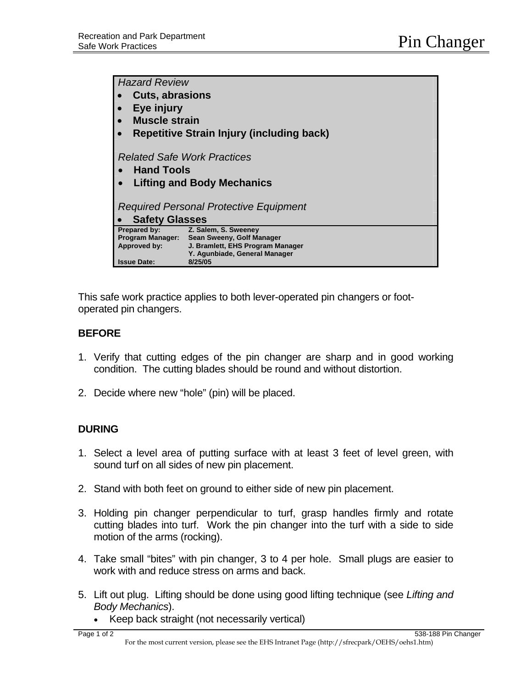| <b>Hazard Review</b>                             |                                                                   |
|--------------------------------------------------|-------------------------------------------------------------------|
|                                                  |                                                                   |
| <b>Cuts, abrasions</b>                           |                                                                   |
| Eye injury                                       |                                                                   |
| <b>Muscle strain</b>                             |                                                                   |
| <b>Repetitive Strain Injury (including back)</b> |                                                                   |
|                                                  |                                                                   |
| <b>Related Safe Work Practices</b>               |                                                                   |
|                                                  |                                                                   |
| <b>Hand Tools</b>                                |                                                                   |
| <b>Lifting and Body Mechanics</b>                |                                                                   |
|                                                  |                                                                   |
| Required Personal Protective Equipment           |                                                                   |
| <b>Safety Glasses</b>                            |                                                                   |
| Prepared by:                                     | Z. Salem, S. Sweeney                                              |
| <b>Program Manager:</b>                          | Sean Sweeny, Golf Manager                                         |
| Approved by:                                     | J. Bramlett, EHS Program Manager<br>Y. Agunbiade, General Manager |
| <b>Issue Date:</b>                               | 8/25/05                                                           |

This safe work practice applies to both lever-operated pin changers or footoperated pin changers.

## **BEFORE**

- 1. Verify that cutting edges of the pin changer are sharp and in good working condition. The cutting blades should be round and without distortion.
- 2. Decide where new "hole" (pin) will be placed.

## **DURING**

- 1. Select a level area of putting surface with at least 3 feet of level green, with sound turf on all sides of new pin placement.
- 2. Stand with both feet on ground to either side of new pin placement.
- 3. Holding pin changer perpendicular to turf, grasp handles firmly and rotate cutting blades into turf. Work the pin changer into the turf with a side to side motion of the arms (rocking).
- 4. Take small "bites" with pin changer, 3 to 4 per hole. Small plugs are easier to work with and reduce stress on arms and back.
- 5. Lift out plug. Lifting should be done using good lifting technique (see *Lifting and Body Mechanics*).
	- Keep back straight (not necessarily vertical)